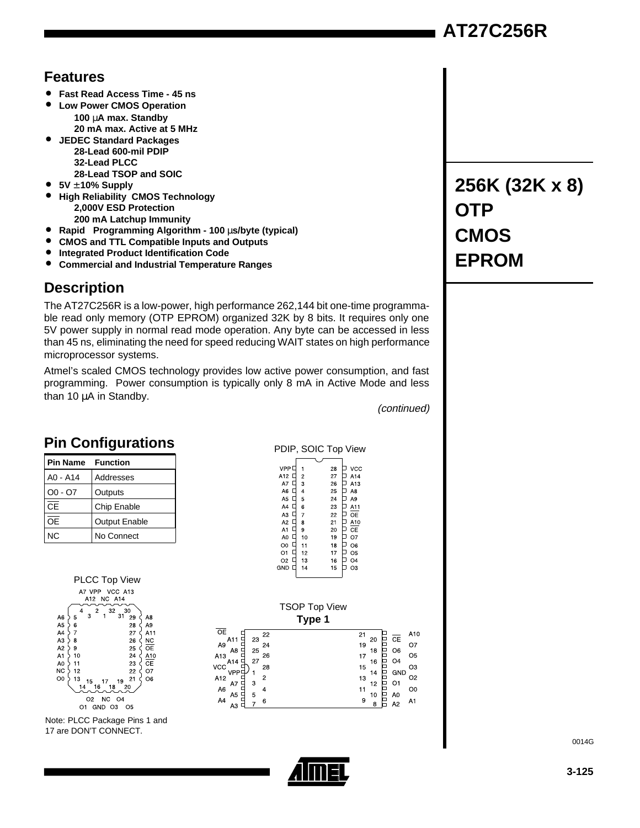# **AT27C256R**

## **Features**

- **Fast Read Access Time 45 ns**
- **Low Power CMOS Operation 100** µ**A max. Standby 20 mA max. Active at 5 MHz**
- **JEDEC Standard Packages 28-Lead 600-mil PDIP 32-Lead PLCC 28-Lead TSOP and SOIC**
- **5V** ± **10% Supply**
- **High Reliability CMOS Technology 2,000V ESD Protection 200 mA Latchup Immunity**
- Rapid<sup>™</sup> Programming Algorithm 100 µs/byte (typical)<br>● CMOS and TTL Compatible Inputs and Outputs
- **CMOS and TTL Compatible Inputs and Outputs**
- **Integrated Product Identification Code**
- **Commercial and Industrial Temperature Ranges**

# **Description**

The AT27C256R is a low-power, high performance 262,144 bit one-time programmable read only memory (OTP EPROM) organized 32K by 8 bits. It requires only one 5V power supply in normal read mode operation. Any byte can be accessed in less than 45 ns, eliminating the need for speed reducing WAIT states on high performance microprocessor systems.

Atmel's scaled CMOS technology provides low active power consumption, and fast programming. Power consumption is typically only 8 mA in Active Mode and less than 10 µA in Standby.

(continued)

# **Pin Configurations**

| <b>Pin Name</b> Function |                      |
|--------------------------|----------------------|
| A0 - A14                 | Addresses            |
| $OO - O7$                | Outputs              |
| СF                       | Chip Enable          |
| ΩF                       | <b>Output Enable</b> |
| NC.                      | No Connect           |

Note: PLCC Package Pins 1 and 17 are DON'T CONNECT.

### PDIP, SOIC Top View

| VPP <sup>[</sup>     |                | 28 |   | VCC            |
|----------------------|----------------|----|---|----------------|
| A12                  | $\overline{c}$ | 27 |   | A14            |
| A7                   | 3              | 26 |   | A13            |
| A6<br>Q              | 4              | 25 | L | A8             |
| A <sub>5</sub>       | 5              | 24 | L | A <sub>9</sub> |
| A4<br>∟              | 6              | 23 |   | A11            |
| A3                   | 7              | 22 | ₽ | OE             |
| A <sub>2</sub><br>L  | 8              | 21 | L | A10            |
| A1<br>Ξ              | 9              | 20 | G | CЕ             |
| A0<br>$\overline{a}$ | 10             | 19 | G | O7             |
| L<br>O <sub>0</sub>  | 11             | 18 | Ī | O6             |
| O <sub>1</sub><br>Ξ  | 12             | 17 | Ξ | O <sub>5</sub> |
| O <sub>2</sub>       | 13             | 16 |   | O <sub>4</sub> |
| GND                  | 14             | 15 |   | OЗ             |
|                      |                |    |   |                |



# **EPROM**

**256K (32K x 8)**

**OTP**

**CMOS**



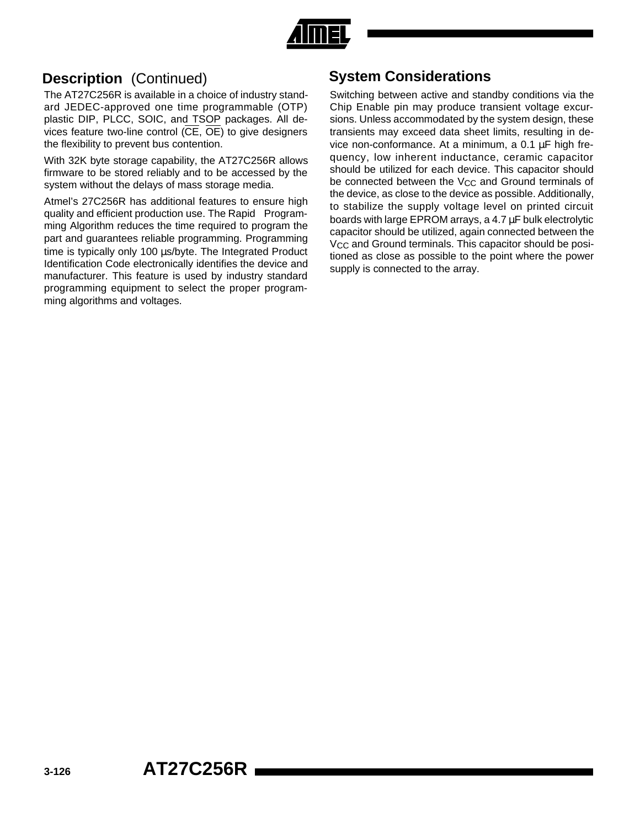

# **Description** (Continued)

The AT27C256R is available in a choice of industry standard JEDEC-approved one time programmable (OTP) plastic DIP, PLCC, SOIC, and TSOP packages. All devices feature two-line control  $(\overline{CE}, \overline{OE})$  to give designers the flexibility to prevent bus contention.

With 32K byte storage capability, the AT27C256R allows firmware to be stored reliably and to be accessed by the system without the delays of mass storage media.

Atmel's 27C256R has additional features to ensure high quality and efficient production use. The Rapid $^{m}$  Programming Algorithm reduces the time required to program the part and guarantees reliable programming. Programming time is typically only 100 µs/byte. The Integrated Product Identification Code electronically identifies the device and manufacturer. This feature is used by industry standard programming equipment to select the proper programming algorithms and voltages.

# **System Considerations**

Switching between active and standby conditions via the Chip Enable pin may produce transient voltage excursions. Unless accommodated by the system design, these transients may exceed data sheet limits, resulting in device non-conformance. At a minimum, a 0.1 µF high frequency, low inherent inductance, ceramic capacitor should be utilized for each device. This capacitor should be connected between the V<sub>CC</sub> and Ground terminals of the device, as close to the device as possible. Additionally, to stabilize the supply voltage level on printed circuit boards with large EPROM arrays, a 4.7 µF bulk electrolytic capacitor should be utilized, again connected between the V<sub>CC</sub> and Ground terminals. This capacitor should be positioned as close as possible to the point where the power supply is connected to the array.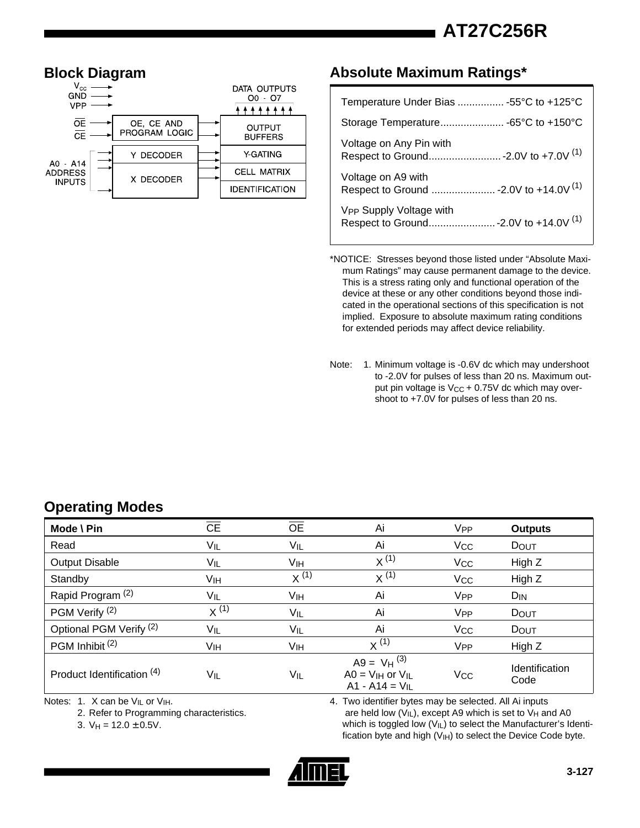**AT27C256R**



### **Absolute Maximum Ratings\***

| Temperature Under Bias  -55°C to +125°C |
|-----------------------------------------|
|                                         |
| Voltage on Any Pin with                 |
| Voltage on A9 with                      |
| V <sub>PP</sub> Supply Voltage with     |

\*NOTICE: Stresses beyond those listed under "Absolute Maximum Ratings" may cause permanent damage to the device. This is a stress rating only and functional operation of the device at these or any other conditions beyond those indicated in the operational sections of this specification is not implied. Exposure to absolute maximum rating conditions for extended periods may affect device reliability.

Note: 1. Minimum voltage is -0.6V dc which may undershoot to -2.0V for pulses of less than 20 ns. Maximum output pin voltage is  $V_{CC}$  + 0.75V dc which may overshoot to +7.0V for pulses of less than 20 ns.

# **Operating Modes**

| Mode \ Pin                         | <b>CE</b> | <b>OE</b>       | Ai                                                            | <b>V<sub>PP</sub></b> | <b>Outputs</b>                |
|------------------------------------|-----------|-----------------|---------------------------------------------------------------|-----------------------|-------------------------------|
| Read                               | VIL       | VIL             | Ai                                                            | <b>V<sub>CC</sub></b> | DOUT                          |
| <b>Output Disable</b>              | VIL       | VIH             | $x^{(1)}$                                                     | <b>V<sub>CC</sub></b> | High Z                        |
| Standby                            | Vıн       | $X^{(1)}$       | $X^{(1)}$                                                     | <b>V<sub>CC</sub></b> | High Z                        |
| Rapid Program <sup>(2)</sup>       | VIL       | V <sub>IH</sub> | Ai                                                            | <b>V<sub>PP</sub></b> | $D_{IN}$                      |
| PGM Verify (2)                     | $x^{(1)}$ | VIL             | Ai                                                            | V <sub>PP</sub>       | <b>DOUT</b>                   |
| Optional PGM Verify <sup>(2)</sup> | VIL       | VIL             | Ai                                                            | <b>V<sub>CC</sub></b> | DOUT                          |
| PGM Inhibit <sup>(2)</sup>         | Vıн       | Vıн             | $X^{(1)}$                                                     | V <sub>PP</sub>       | High Z                        |
| Product Identification (4)         | VIL       | VIL             | $A9 = VH^{(3)}$<br>$AO = VIH$ or $VIL$<br>$A1 - A14 = V_{1L}$ | Vcc                   | <b>Identification</b><br>Code |

Notes: 1. X can be V<sub>IL</sub> or V<sub>IH</sub>.

2. Refer to Programming characteristics.

3.  $V_H = 12.0 \pm 0.5V$ .

4. Two identifier bytes may be selected. All Ai inputs are held low  $(V_{|L})$ , except A9 which is set to  $V_H$  and A0 which is toggled low (VIL) to select the Manufacturer's Identification byte and high  $(V<sub>IH</sub>)$  to select the Device Code byte.

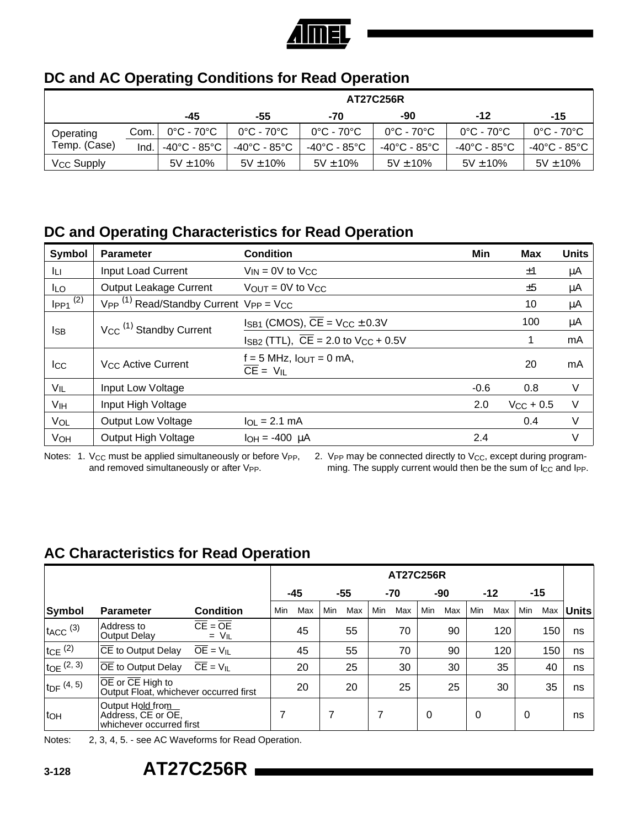

# **DC and AC Operating Conditions for Read Operation**

|                              |      | <b>AT27C256R</b>                |                                 |                                 |                                 |                                   |                                   |  |  |  |  |
|------------------------------|------|---------------------------------|---------------------------------|---------------------------------|---------------------------------|-----------------------------------|-----------------------------------|--|--|--|--|
|                              |      | -45                             | -55                             | -70                             | -90                             | $-12$                             | -15                               |  |  |  |  |
| Operating                    | Com. | $0^{\circ}$ C - 70 $^{\circ}$ C | $0^{\circ}$ C - 70 $^{\circ}$ C | $0^{\circ}$ C - 70 $^{\circ}$ C | $0^{\circ}$ C - 70 $^{\circ}$ C | $0^{\circ}$ C - 70 $^{\circ}$ C   | $0^{\circ}$ C - 70 $^{\circ}$ C   |  |  |  |  |
| Temp. (Case)                 | Ind. | -40°C - 85°C                    | -40°C - 85°C                    | -40°C - 85°C                    | -40°C - 85°C                    | $-40^{\circ}$ C - 85 $^{\circ}$ C | $-40^{\circ}$ C - 85 $^{\circ}$ C |  |  |  |  |
| <b>V<sub>CC</sub></b> Supply |      | $5V \pm 10\%$                   | $5V \pm 10\%$                   | $5V \pm 10\%$                   | $5V \pm 10\%$                   | $5V \pm 10\%$                     | $5V \pm 10\%$                     |  |  |  |  |

# **DC and Operating Characteristics for Read Operation**

| Symbol                   | <b>Parameter</b>                                               | <b>Condition</b>                                                               | Min    | <b>Max</b>     | <b>Units</b> |
|--------------------------|----------------------------------------------------------------|--------------------------------------------------------------------------------|--------|----------------|--------------|
| Iц.                      | <b>Input Load Current</b>                                      | $V_{IN} = 0V$ to $V_{CC}$                                                      |        | ±1             | μA           |
| ILO.                     | <b>Output Leakage Current</b>                                  | $V_{OUT} = 0V$ to $V_{CC}$                                                     |        | ±5             | μA           |
| $I_{PP1}$ <sup>(2)</sup> | $V_{PP}$ <sup>(1)</sup> Read/Standby Current $V_{PP} = V_{CC}$ |                                                                                |        | 10             | μA           |
|                          | $V_{CC}$ <sup>(1)</sup> Standby Current                        | $I_{SB1}$ (CMOS), $\overline{CE}$ = V <sub>CC</sub> $\pm$ 0.3V                 |        | 100            | μA           |
| lsb                      |                                                                | $I_{\text{SB2}}$ (TTL), $\overline{\text{CE}}$ = 2.0 to V <sub>CC</sub> + 0.5V |        | 1              | mA           |
| Icc                      | <b>V<sub>CC</sub></b> Active Current                           | $f = 5$ MHz, $I_{\text{OUT}} = 0$ mA,<br>$CE = V_{IL}$                         |        | 20             | mA           |
| VIL                      | Input Low Voltage                                              |                                                                                | $-0.6$ | 0.8            | V            |
| V <sub>IH</sub>          | Input High Voltage                                             |                                                                                | 2.0    | $V_{CC}$ + 0.5 | V            |
| VOL                      | <b>Output Low Voltage</b>                                      | $I_{OL}$ = 2.1 mA                                                              |        | 0.4            | V            |
| VOH                      | Output High Voltage                                            | $I_{OH} = -400 \mu A$                                                          | 2.4    |                | ٧            |

Notes: 1. Vcc must be applied simultaneously or before VPP, and removed simultaneously or after V<sub>PP</sub>.

2. VPP may be connected directly to V<sub>CC</sub>, except during programming. The supply current would then be the sum of Icc and Ipp.

# **AC Characteristics for Read Operation**

|                          |                                                                                      |                            |     | <b>AT27C256R</b> |     |     |     |              |     |       |          |     |            |     |              |
|--------------------------|--------------------------------------------------------------------------------------|----------------------------|-----|------------------|-----|-----|-----|--------------|-----|-------|----------|-----|------------|-----|--------------|
|                          |                                                                                      |                            |     | -45<br>-55       |     | -70 |     | $-12$<br>-90 |     | $-15$ |          |     |            |     |              |
| <b>Symbol</b>            | <b>Parameter</b>                                                                     | <b>Condition</b>           | Min | Max              | Min | Max | Min | Max          | Min | Max   | Min      | Max | <b>Min</b> | Max | <b>Units</b> |
| $t_{ACC}$ <sup>(3)</sup> | Address to<br>Output Delay                                                           | $CE = OE$<br>$= V_{IL}$    |     | 45               |     | 55  |     | 70           |     | 90    |          | 120 |            | 150 | ns           |
| $tcE^{(2)}$              | CE to Output Delay                                                                   | $\overline{OE}$ = $V_{IL}$ |     | 45               |     | 55  |     | 70           |     | 90    |          | 120 |            | 150 | ns           |
| $to E^{(2, 3)}$          | OE to Output Delay                                                                   | $\overline{CE} = V_{II}$   |     | 20               |     | 25  |     | 30           |     | 30    |          | 35  |            | 40  | ns           |
| $t_{\text{DF}}$ (4, 5)   | $\overline{OE}$ or $\overline{CE}$ High to<br>Output Float, whichever occurred first |                            |     | 20               |     | 20  |     | 25           |     | 25    |          | 30  |            | 35  | ns           |
| to <sub>H</sub>          | Output Hold from<br>Address, CE or OE,<br>whichever occurred first                   |                            |     |                  | 7   |     |     |              | 0   |       | $\Omega$ |     | 0          |     | ns           |

Notes: 2, 3, 4, 5. - see AC Waveforms for Read Operation.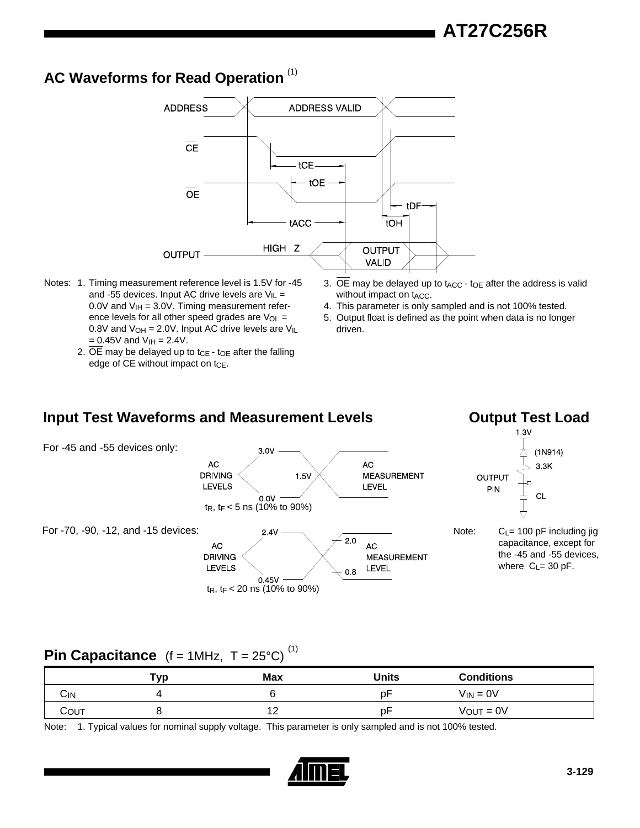# **AC Waveforms for Read Operation** (1)



- Notes: 1. Timing measurement reference level is 1.5V for -45 and -55 devices. Input AC drive levels are  $V_{IL}$  = 0.0V and  $V_{\text{IH}} = 3.0V$ . Timing measurement reference levels for all other speed grades are  $V_{OL}$  = 0.8V and  $V_{OH} = 2.0V$ . Input AC drive levels are  $V_{IL}$  $= 0.45V$  and  $V_{\text{IH}} = 2.4V$ .
	- 2.  $\overline{OE}$  may be delayed up to tce toe after the falling edge of CE without impact on  $t_{CE}$ .
- 3. OE may be delayed up to  $t_{\text{ACC}}$   $t_{\text{OE}}$  after the address is valid without impact on t<sub>ACC</sub>.
- 4. This parameter is only sampled and is not 100% tested.
- 5. Output float is defined as the point when data is no longer driven.

# **Input Test Waveforms and Measurement Levels**

## **Output Test Load**



# **Pin Capacitance**  $(f = 1MHz, T = 25^{\circ}C)^{(1)}$

|      | ™vp | <b>Max</b> | Units | <b>Conditions</b> |
|------|-----|------------|-------|-------------------|
| Сім  |     |            | рF    | $V_{IN} = 0V$     |
| COUT |     | . .        | рF    | $V_{OUT} = 0V$    |

Note: 1. Typical values for nominal supply voltage. This parameter is only sampled and is not 100% tested.

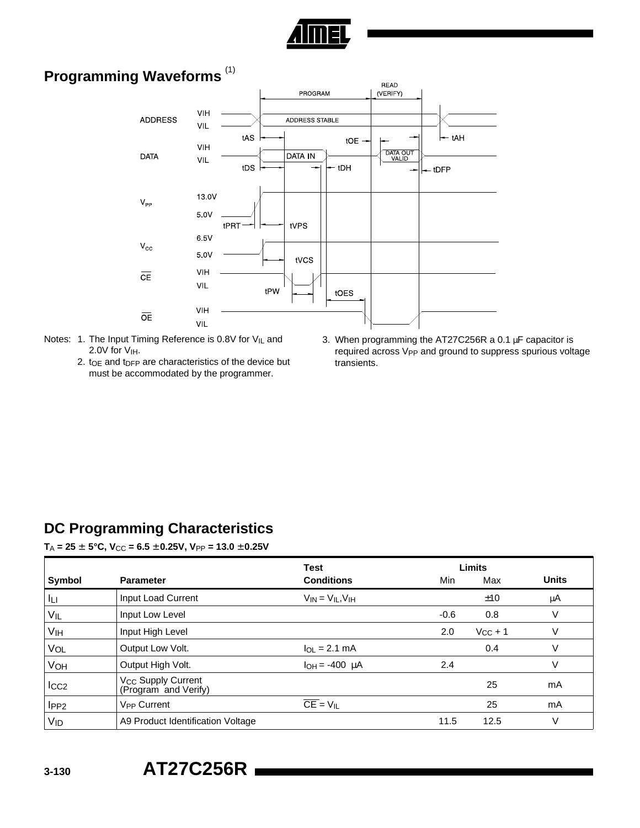

# **Programming Waveforms** (1)



- Notes: 1. The Input Timing Reference is 0.8V for V<sub>IL</sub> and 2.0V for V<sub>IH</sub>.
	- 2. to e and to FP are characteristics of the device but must be accommodated by the programmer.
- 3. When programming the AT27C256R a 0.1 µF capacitor is required across V<sub>PP</sub> and ground to suppress spurious voltage transients.

## **DC Programming Characteristics**

 $T_A = 25 \pm 5^{\circ}$ C,  $V_{CC} = 6.5 \pm 0.25$ V,  $V_{PP} = 13.0 \pm 0.25$ V

|                  |                                                        | <b>Test</b>                  | <b>Limits</b> |              |              |
|------------------|--------------------------------------------------------|------------------------------|---------------|--------------|--------------|
| Symbol           | <b>Parameter</b>                                       | <b>Conditions</b>            | Min           | Max          | <b>Units</b> |
| Iц               | Input Load Current                                     | $V_{IN} = V_{IL}$ , $V_{IH}$ |               | ±10          | μA           |
| VIL              | Input Low Level                                        |                              | $-0.6$        | 0.8          | V            |
| V <sub>IH</sub>  | Input High Level                                       |                              | 2.0           | $V_{CC} + 1$ | V            |
| VOL              | Output Low Volt.                                       | $I_{OL}$ = 2.1 mA            |               | 0.4          | V            |
| VOH              | Output High Volt.                                      | $I_{OH} = -400 \mu A$        | 2.4           |              | V            |
| $_{\text{ICC2}}$ | V <sub>CC</sub> Supply Current<br>(Program and Verify) |                              |               | 25           | mA           |
| IPP2             | <b>V<sub>PP</sub></b> Current                          | $\overline{CE} = V_{IL}$     |               | 25           | mA           |
| VID              | A9 Product Identification Voltage                      |                              | 11.5          | 12.5         | V            |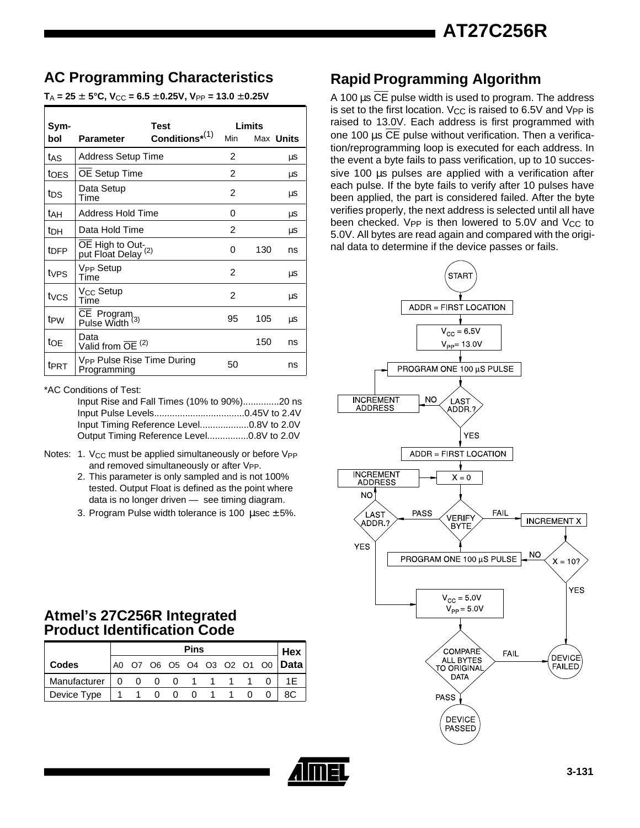# **AC Programming Characteristics**

 $T_A = 25 \pm 5^{\circ}$ C,  $V_{CC} = 6.5 \pm 0.25$ V,  $V_{PP} = 13.0 \pm 0.25$ V

|                  |                                                       | Test                 |                | Limits           |    |
|------------------|-------------------------------------------------------|----------------------|----------------|------------------|----|
| Sym-<br>bol      | <b>Parameter</b>                                      | Conditions $^{*(1)}$ | Min            | Max <b>Units</b> |    |
| tas              | <b>Address Setup Time</b>                             |                      | $\overline{2}$ |                  | μS |
| toes             | OE Setup Time                                         |                      | $\overline{2}$ |                  | μS |
| tps              | Data Setup<br>Time                                    |                      | 2              |                  | μS |
| tah              | Address Hold Time                                     |                      | 0              |                  | μS |
| tdh              | Data Hold Time                                        |                      | 2              |                  | μS |
| t <sub>DFP</sub> | OE High to Out-<br>put Float Delay <sup>(2)</sup>     |                      | 0              | 130              | ns |
| tv <sub>PS</sub> | <b>V<sub>PP</sub></b> Setup<br>Time                   |                      | 2              |                  | μS |
| tycs             | V <sub>CC</sub> Setup<br>Time                         |                      | $\overline{c}$ |                  | μS |
| t <sub>PW</sub>  | $\overline{CE}$ Program Pulse Width $(3)$             |                      | 95             | 105              | μS |
| toe              | Data<br>Valid from $\overline{OE}$ <sup>(2)</sup>     |                      |                | 150              | ns |
| tert             | V <sub>PP</sub> Pulse Rise Time During<br>Programming |                      | 50             |                  | ns |

\*AC Conditions of Test:

Input Rise and Fall Times (10% to 90%)..............20 ns Input Pulse Levels...................................0.45V to 2.4V Input Timing Reference Level...................0.8V to 2.0V Output Timing Reference Level................0.8V to 2.0V

- Notes: 1. V<sub>CC</sub> must be applied simultaneously or before V<sub>PP</sub> and removed simultaneously or after V<sub>PP</sub>.
	- 2. This parameter is only sampled and is not 100% tested. Output Float is defined as the point where data is no longer driven — see timing diagram.
	- 3. Program Pulse width tolerance is 100  $\mu$ sec  $\pm$  5%.

# **Rapid Programming Algorithm**

A 100  $\mu$ s  $\overline{CE}$  pulse width is used to program. The address is set to the first location. V<sub>CC</sub> is raised to 6.5V and V<sub>PP</sub> is raised to 13.0V. Each address is first programmed with one 100 µs CE pulse without verification. Then a verification/reprogramming loop is executed for each address. In the event a byte fails to pass verification, up to 10 successive 100 µs pulses are applied with a verification after each pulse. If the byte fails to verify after 10 pulses have been applied, the part is considered failed. After the byte verifies properly, the next address is selected until all have been checked. Vpp is then lowered to  $5.0V$  and V<sub>CC</sub> to 5.0V. All bytes are read again and compared with the original data to determine if the device passes or fails.



## **Atmel's 27C256R Integrated Product Identification Code**

|              |          | <b>Pins</b>   |  |  |  |  |  |  |  | Hex                               |
|--------------|----------|---------------|--|--|--|--|--|--|--|-----------------------------------|
| <b>Codes</b> |          |               |  |  |  |  |  |  |  | A0 O7 O6 O5 O4 O3 O2 O1 O0   Data |
| Manufacturer | $\Omega$ | 0 0 0 1 1 1 1 |  |  |  |  |  |  |  | 1F                                |
| Device Type  |          | 1100011       |  |  |  |  |  |  |  | 8C                                |

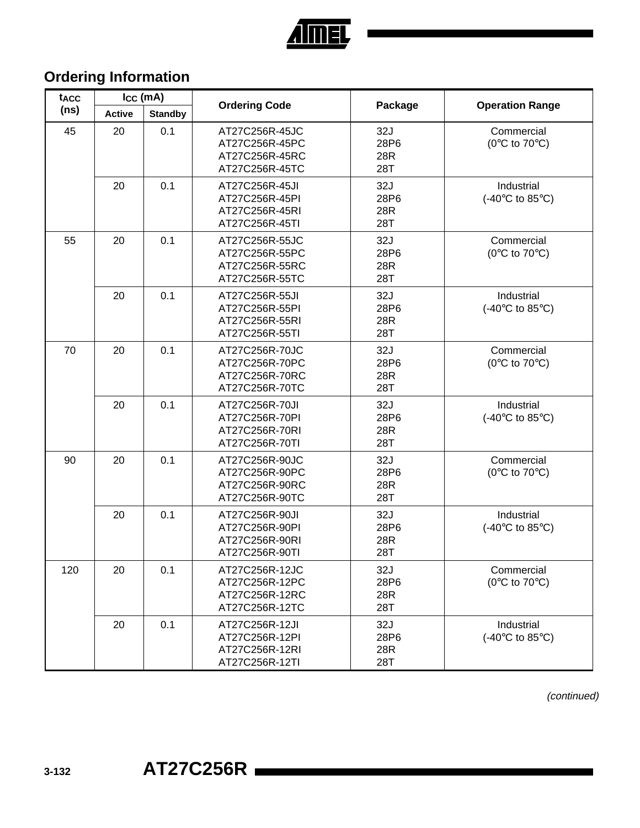

# **Ordering Information**

| tacc<br>(ns) | $I_{CC}$ (mA) |                | <b>Ordering Code</b>                                                 |                           |                                                        |
|--------------|---------------|----------------|----------------------------------------------------------------------|---------------------------|--------------------------------------------------------|
|              | <b>Active</b> | <b>Standby</b> |                                                                      | Package                   | <b>Operation Range</b>                                 |
| 45           | 20            | 0.1            | AT27C256R-45JC<br>AT27C256R-45PC<br>AT27C256R-45RC<br>AT27C256R-45TC | 32J<br>28P6<br>28R<br>28T | Commercial<br>( $0^{\circ}$ C to $70^{\circ}$ C)       |
|              | 20            | 0.1            | AT27C256R-45JI<br>AT27C256R-45PI<br>AT27C256R-45RI<br>AT27C256R-45TI | 32J<br>28P6<br>28R<br>28T | Industrial<br>(-40 $\degree$ C to 85 $\degree$ C)      |
| 55           | 20            | 0.1            | AT27C256R-55JC<br>AT27C256R-55PC<br>AT27C256R-55RC<br>AT27C256R-55TC | 32J<br>28P6<br>28R<br>28T | Commercial<br>( $0^{\circ}$ C to $70^{\circ}$ C)       |
|              | 20            | 0.1            | AT27C256R-55JI<br>AT27C256R-55PI<br>AT27C256R-55RI<br>AT27C256R-55TI | 32J<br>28P6<br>28R<br>28T | Industrial<br>(-40 $\degree$ C to 85 $\degree$ C)      |
| 70           | 20            | 0.1            | AT27C256R-70JC<br>AT27C256R-70PC<br>AT27C256R-70RC<br>AT27C256R-70TC | 32J<br>28P6<br>28R<br>28T | Commercial<br>( $0^{\circ}$ C to $70^{\circ}$ C)       |
|              | 20            | 0.1            | AT27C256R-70JI<br>AT27C256R-70PI<br>AT27C256R-70RI<br>AT27C256R-70TI | 32J<br>28P6<br>28R<br>28T | Industrial<br>$(-40^{\circ}C \text{ to } 85^{\circ}C)$ |
| 90           | 20            | 0.1            | AT27C256R-90JC<br>AT27C256R-90PC<br>AT27C256R-90RC<br>AT27C256R-90TC | 32J<br>28P6<br>28R<br>28T | Commercial<br>( $0^{\circ}$ C to $70^{\circ}$ C)       |
|              | 20            | 0.1            | AT27C256R-90JI<br>AT27C256R-90PI<br>AT27C256R-90RI<br>AT27C256R-90TI | 32J<br>28P6<br>28R<br>28T | Industrial<br>$(-40^{\circ}C \text{ to } 85^{\circ}C)$ |
| 120          | 20            | 0.1            | AT27C256R-12JC<br>AT27C256R-12PC<br>AT27C256R-12RC<br>AT27C256R-12TC | 32J<br>28P6<br>28R<br>28T | Commercial<br>( $0^{\circ}$ C to $70^{\circ}$ C)       |
|              | 20            | 0.1            | AT27C256R-12JI<br>AT27C256R-12PI<br>AT27C256R-12RI<br>AT27C256R-12TI | 32J<br>28P6<br>28R<br>28T | Industrial<br>$(-40^{\circ}C \text{ to } 85^{\circ}C)$ |

(continued)